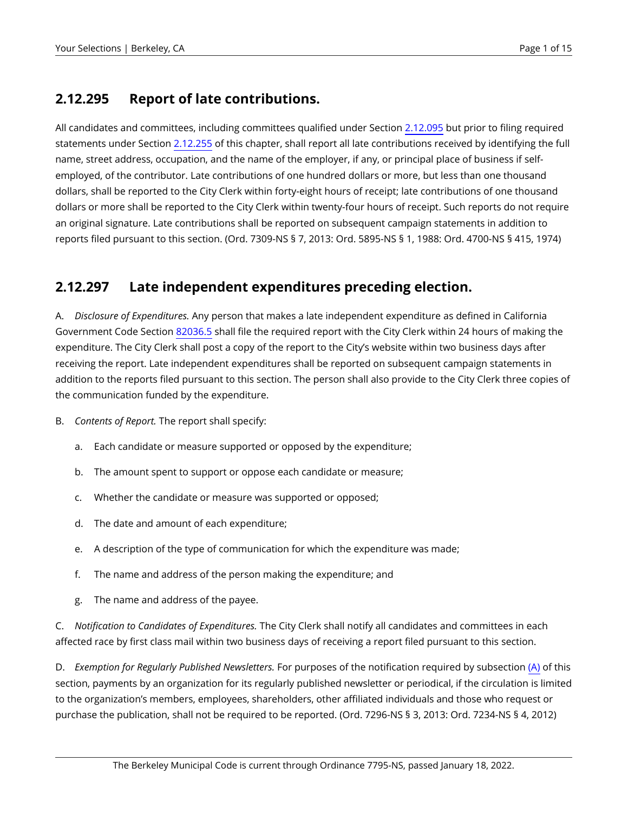#### <span id="page-0-1"></span>**2.12.295 Report of late contributions.**

All candidates and committees, including committees qualified under Section [2.12.095](https://berkeley.municipal.codes/BMC/2.12.095) but prior to filing required statements under Section [2.12.255](https://berkeley.municipal.codes/BMC/2.12.255) of this chapter, shall report all late contributions received by identifying the full name, street address, occupation, and the name of the employer, if any, or principal place of business if selfemployed, of the contributor. Late contributions of one hundred dollars or more, but less than one thousand dollars, shall be reported to the City Clerk within forty-eight hours of receipt; late contributions of one thousand dollars or more shall be reported to the City Clerk within twenty-four hours of receipt. Such reports do not require an original signature. Late contributions shall be reported on subsequent campaign statements in addition to reports filed pursuant to this section. (Ord. 7309-NS § 7, 2013: Ord. 5895-NS § 1, 1988: Ord. 4700-NS § 415, 1974)

#### <span id="page-0-2"></span>**2.12.297 Late independent expenditures preceding election.**

<span id="page-0-0"></span>A. *Disclosure of Expenditures.* Any person that makes a late independent expenditure as defined in California Government Code Section [82036.5](https://berkeley.municipal.codes/CA/GOV/82036.5) shall file the required report with the City Clerk within 24 hours of making the expenditure. The City Clerk shall post a copy of the report to the City's website within two business days after receiving the report. Late independent expenditures shall be reported on subsequent campaign statements in addition to the reports filed pursuant to this section. The person shall also provide to the City Clerk three copies of the communication funded by the expenditure.

- B. *Contents of Report.* The report shall specify:
	- a. Each candidate or measure supported or opposed by the expenditure;
	- b. The amount spent to support or oppose each candidate or measure;
	- c. Whether the candidate or measure was supported or opposed;
	- d. The date and amount of each expenditure;
	- e. A description of the type of communication for which the expenditure was made;
	- f. The name and address of the person making the expenditure; and
	- g. The name and address of the payee.

C. *Notification to Candidates of Expenditures.* The City Clerk shall notify all candidates and committees in each affected race by first class mail within two business days of receiving a report filed pursuant to this section.

D. *Exemption for Regularly Published Newsletters.* For purposes of the notification required by subsection [\(A\)](#page-0-0) of this section, payments by an organization for its regularly published newsletter or periodical, if the circulation is limited to the organization's members, employees, shareholders, other affiliated individuals and those who request or purchase the publication, shall not be required to be reported. (Ord. 7296-NS § 3, 2013: Ord. 7234-NS § 4, 2012)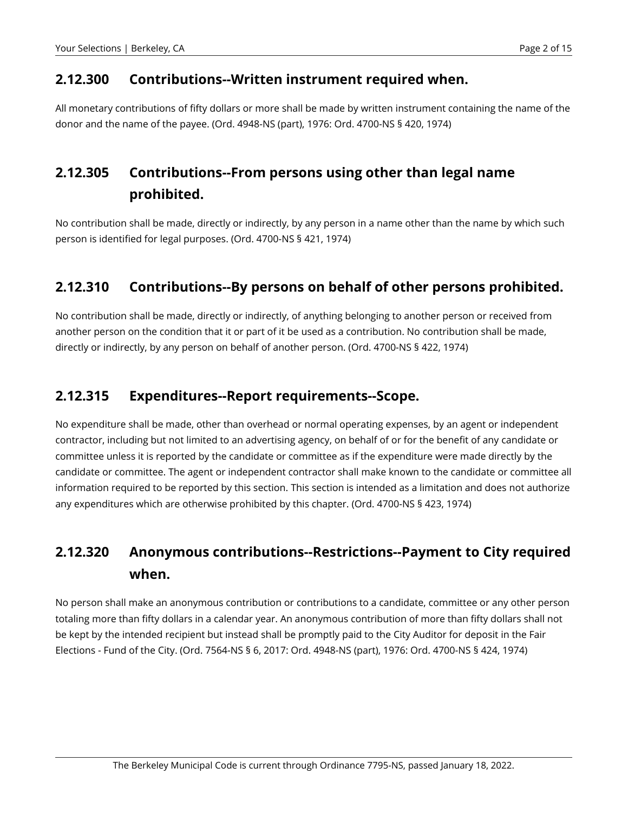#### **2.12.300 Contributions--Written instrument required when.**

All monetary contributions of fifty dollars or more shall be made by written instrument containing the name of the donor and the name of the payee. (Ord. 4948-NS (part), 1976: Ord. 4700-NS § 420, 1974)

# **2.12.305 Contributions--From persons using other than legal name prohibited.**

No contribution shall be made, directly or indirectly, by any person in a name other than the name by which such person is identified for legal purposes. (Ord. 4700-NS § 421, 1974)

#### **2.12.310 Contributions--By persons on behalf of other persons prohibited.**

No contribution shall be made, directly or indirectly, of anything belonging to another person or received from another person on the condition that it or part of it be used as a contribution. No contribution shall be made, directly or indirectly, by any person on behalf of another person. (Ord. 4700-NS § 422, 1974)

#### **2.12.315 Expenditures--Report requirements--Scope.**

No expenditure shall be made, other than overhead or normal operating expenses, by an agent or independent contractor, including but not limited to an advertising agency, on behalf of or for the benefit of any candidate or committee unless it is reported by the candidate or committee as if the expenditure were made directly by the candidate or committee. The agent or independent contractor shall make known to the candidate or committee all information required to be reported by this section. This section is intended as a limitation and does not authorize any expenditures which are otherwise prohibited by this chapter. (Ord. 4700-NS § 423, 1974)

# **2.12.320 Anonymous contributions--Restrictions--Payment to City required when.**

No person shall make an anonymous contribution or contributions to a candidate, committee or any other person totaling more than fifty dollars in a calendar year. An anonymous contribution of more than fifty dollars shall not be kept by the intended recipient but instead shall be promptly paid to the City Auditor for deposit in the Fair Elections - Fund of the City. (Ord. 7564-NS § 6, 2017: Ord. 4948-NS (part), 1976: Ord. 4700-NS § 424, 1974)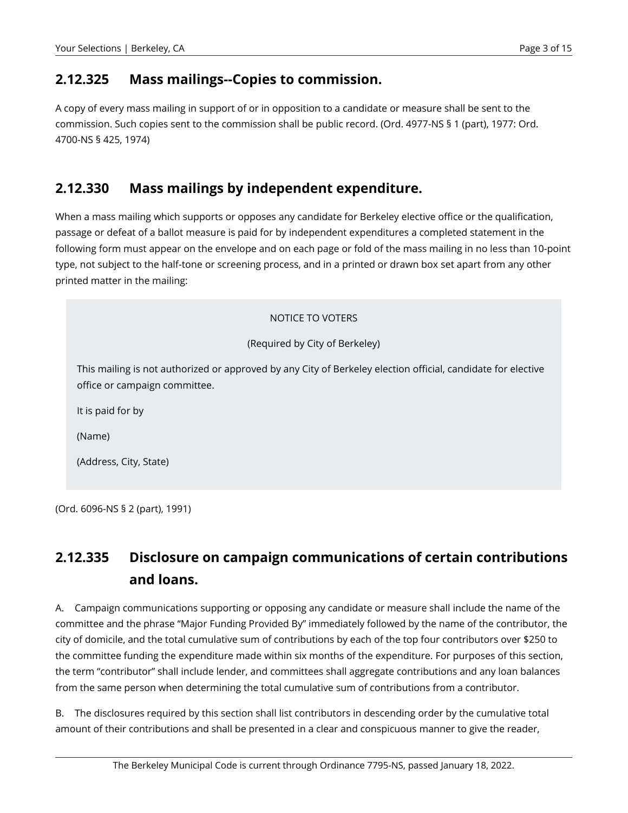#### **2.12.325 Mass mailings--Copies to commission.**

A copy of every mass mailing in support of or in opposition to a candidate or measure shall be sent to the commission. Such copies sent to the commission shall be public record. (Ord. 4977-NS § 1 (part), 1977: Ord. 4700-NS § 425, 1974)

#### **2.12.330 Mass mailings by independent expenditure.**

When a mass mailing which supports or opposes any candidate for Berkeley elective office or the qualification, passage or defeat of a ballot measure is paid for by independent expenditures a completed statement in the following form must appear on the envelope and on each page or fold of the mass mailing in no less than 10-point type, not subject to the half-tone or screening process, and in a printed or drawn box set apart from any other printed matter in the mailing:

# NOTICE TO VOTERS (Required by City of Berkeley) This mailing is not authorized or approved by any City of Berkeley election official, candidate for elective office or campaign committee. It is paid for by (Name) (Address, City, State)

(Ord. 6096-NS § 2 (part), 1991)

# **2.12.335 Disclosure on campaign communications of certain contributions and loans.**

A. Campaign communications supporting or opposing any candidate or measure shall include the name of the committee and the phrase "Major Funding Provided By" immediately followed by the name of the contributor, the city of domicile, and the total cumulative sum of contributions by each of the top four contributors over \$250 to the committee funding the expenditure made within six months of the expenditure. For purposes of this section, the term "contributor" shall include lender, and committees shall aggregate contributions and any loan balances from the same person when determining the total cumulative sum of contributions from a contributor.

B. The disclosures required by this section shall list contributors in descending order by the cumulative total amount of their contributions and shall be presented in a clear and conspicuous manner to give the reader,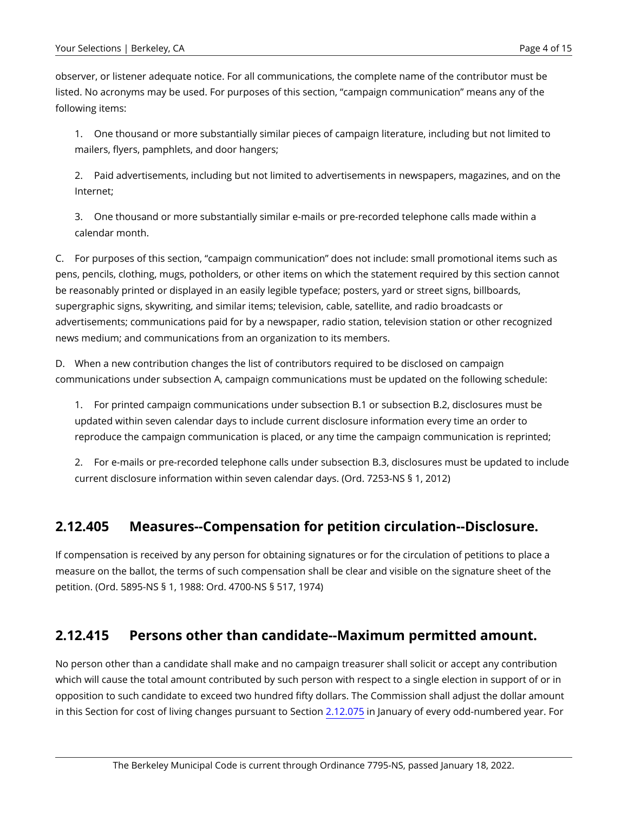observer, or listener adequate notice. For all communications, the complete name of the contributor must be listed. No acronyms may be used. For purposes of this section, "campaign communication" means any of the following items:

1. One thousand or more substantially similar pieces of campaign literature, including but not limited to mailers, flyers, pamphlets, and door hangers;

2. Paid advertisements, including but not limited to advertisements in newspapers, magazines, and on the Internet;

3. One thousand or more substantially similar e-mails or pre-recorded telephone calls made within a calendar month.

C. For purposes of this section, "campaign communication" does not include: small promotional items such as pens, pencils, clothing, mugs, potholders, or other items on which the statement required by this section cannot be reasonably printed or displayed in an easily legible typeface; posters, yard or street signs, billboards, supergraphic signs, skywriting, and similar items; television, cable, satellite, and radio broadcasts or advertisements; communications paid for by a newspaper, radio station, television station or other recognized news medium; and communications from an organization to its members.

D. When a new contribution changes the list of contributors required to be disclosed on campaign communications under subsection A, campaign communications must be updated on the following schedule:

1. For printed campaign communications under subsection B.1 or subsection B.2, disclosures must be updated within seven calendar days to include current disclosure information every time an order to reproduce the campaign communication is placed, or any time the campaign communication is reprinted;

2. For e-mails or pre-recorded telephone calls under subsection B.3, disclosures must be updated to include current disclosure information within seven calendar days. (Ord. 7253-NS § 1, 2012)

# **2.12.405 Measures--Compensation for petition circulation--Disclosure.**

If compensation is received by any person for obtaining signatures or for the circulation of petitions to place a measure on the ballot, the terms of such compensation shall be clear and visible on the signature sheet of the petition. (Ord. 5895-NS § 1, 1988: Ord. 4700-NS § 517, 1974)

#### **2.12.415 Persons other than candidate--Maximum permitted amount.**

No person other than a candidate shall make and no campaign treasurer shall solicit or accept any contribution which will cause the total amount contributed by such person with respect to a single election in support of or in opposition to such candidate to exceed two hundred fifty dollars. The Commission shall adjust the dollar amount in this Section for cost of living changes pursuant to Section [2.12.075](https://berkeley.municipal.codes/BMC/2.12.075) in January of every odd-numbered year. For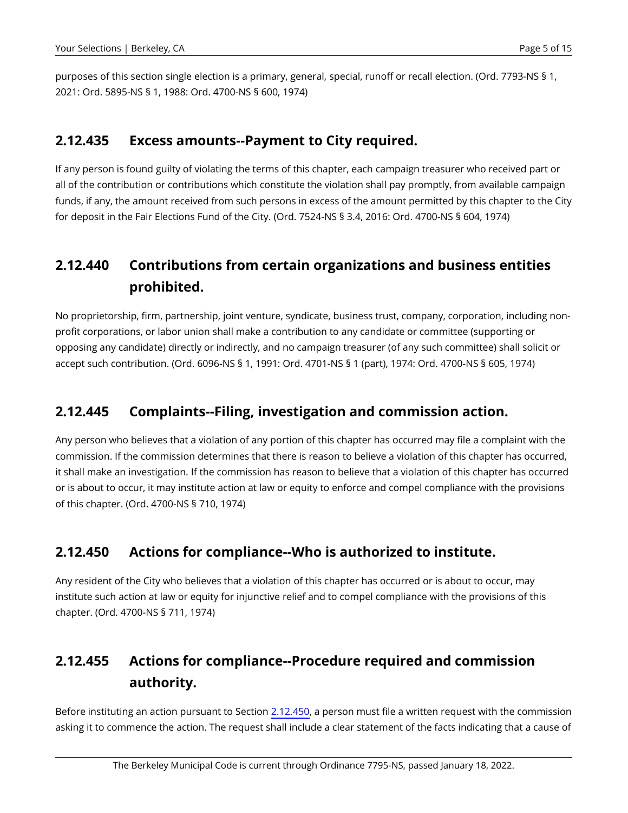purposes of this section single election is a primary, general, special, runoff or recall election. (Ord. 7793-NS § 1, 2021: Ord. 5895-NS § 1, 1988: Ord. 4700-NS § 600, 1974)

#### **2.12.435 Excess amounts--Payment to City required.**

If any person is found guilty of violating the terms of this chapter, each campaign treasurer who received part or all of the contribution or contributions which constitute the violation shall pay promptly, from available campaign funds, if any, the amount received from such persons in excess of the amount permitted by this chapter to the City for deposit in the Fair Elections Fund of the City. (Ord. 7524-NS § 3.4, 2016: Ord. 4700-NS § 604, 1974)

# **2.12.440 Contributions from certain organizations and business entities prohibited.**

No proprietorship, firm, partnership, joint venture, syndicate, business trust, company, corporation, including nonprofit corporations, or labor union shall make a contribution to any candidate or committee (supporting or opposing any candidate) directly or indirectly, and no campaign treasurer (of any such committee) shall solicit or accept such contribution. (Ord. 6096-NS § 1, 1991: Ord. 4701-NS § 1 (part), 1974: Ord. 4700-NS § 605, 1974)

## **2.12.445 Complaints--Filing, investigation and commission action.**

Any person who believes that a violation of any portion of this chapter has occurred may file a complaint with the commission. If the commission determines that there is reason to believe a violation of this chapter has occurred, it shall make an investigation. If the commission has reason to believe that a violation of this chapter has occurred or is about to occur, it may institute action at law or equity to enforce and compel compliance with the provisions of this chapter. (Ord. 4700-NS § 710, 1974)

# <span id="page-4-0"></span>**2.12.450 Actions for compliance--Who is authorized to institute.**

Any resident of the City who believes that a violation of this chapter has occurred or is about to occur, may institute such action at law or equity for injunctive relief and to compel compliance with the provisions of this chapter. (Ord. 4700-NS § 711, 1974)

# **2.12.455 Actions for compliance--Procedure required and commission authority.**

Before instituting an action pursuant to Section [2.12.450,](#page-4-0) a person must file a written request with the commission asking it to commence the action. The request shall include a clear statement of the facts indicating that a cause of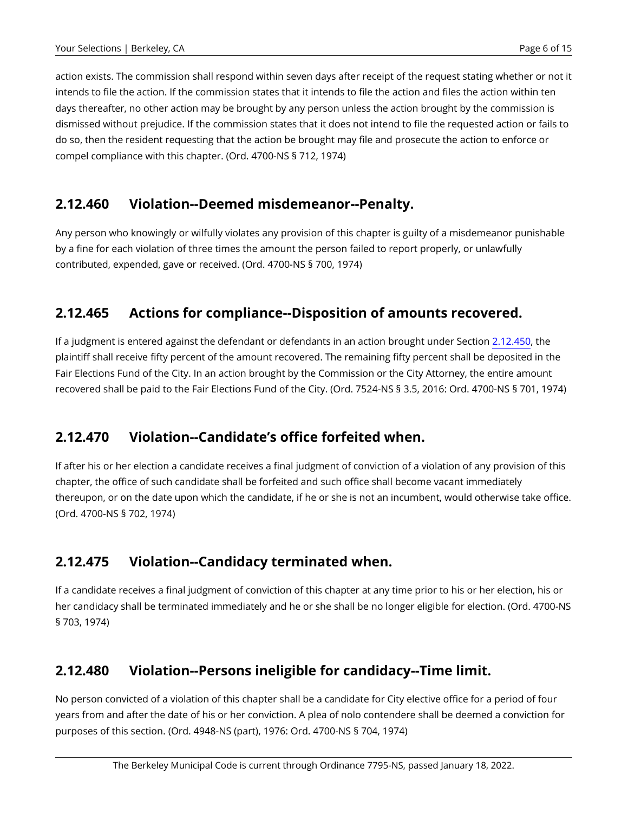action exists. The commission shall respond within seven days after receipt of the request stating whether or not it intends to file the action. If the commission states that it intends to file the action and files the action within ten days thereafter, no other action may be brought by any person unless the action brought by the commission is dismissed without prejudice. If the commission states that it does not intend to file the requested action or fails to do so, then the resident requesting that the action be brought may file and prosecute the action to enforce or compel compliance with this chapter. (Ord. 4700-NS § 712, 1974)

## **2.12.460 Violation--Deemed misdemeanor--Penalty.**

Any person who knowingly or wilfully violates any provision of this chapter is guilty of a misdemeanor punishable by a fine for each violation of three times the amount the person failed to report properly, or unlawfully contributed, expended, gave or received. (Ord. 4700-NS § 700, 1974)

# **2.12.465 Actions for compliance--Disposition of amounts recovered.**

If a judgment is entered against the defendant or defendants in an action brought under Section [2.12.450,](#page-4-0) the plaintiff shall receive fifty percent of the amount recovered. The remaining fifty percent shall be deposited in the Fair Elections Fund of the City. In an action brought by the Commission or the City Attorney, the entire amount recovered shall be paid to the Fair Elections Fund of the City. (Ord. 7524-NS § 3.5, 2016: Ord. 4700-NS § 701, 1974)

# **2.12.470 Violation--Candidate's office forfeited when.**

If after his or her election a candidate receives a final judgment of conviction of a violation of any provision of this chapter, the office of such candidate shall be forfeited and such office shall become vacant immediately thereupon, or on the date upon which the candidate, if he or she is not an incumbent, would otherwise take office. (Ord. 4700-NS § 702, 1974)

# **2.12.475 Violation--Candidacy terminated when.**

If a candidate receives a final judgment of conviction of this chapter at any time prior to his or her election, his or her candidacy shall be terminated immediately and he or she shall be no longer eligible for election. (Ord. 4700-NS § 703, 1974)

#### **2.12.480 Violation--Persons ineligible for candidacy--Time limit.**

No person convicted of a violation of this chapter shall be a candidate for City elective office for a period of four years from and after the date of his or her conviction. A plea of nolo contendere shall be deemed a conviction for purposes of this section. (Ord. 4948-NS (part), 1976: Ord. 4700-NS § 704, 1974)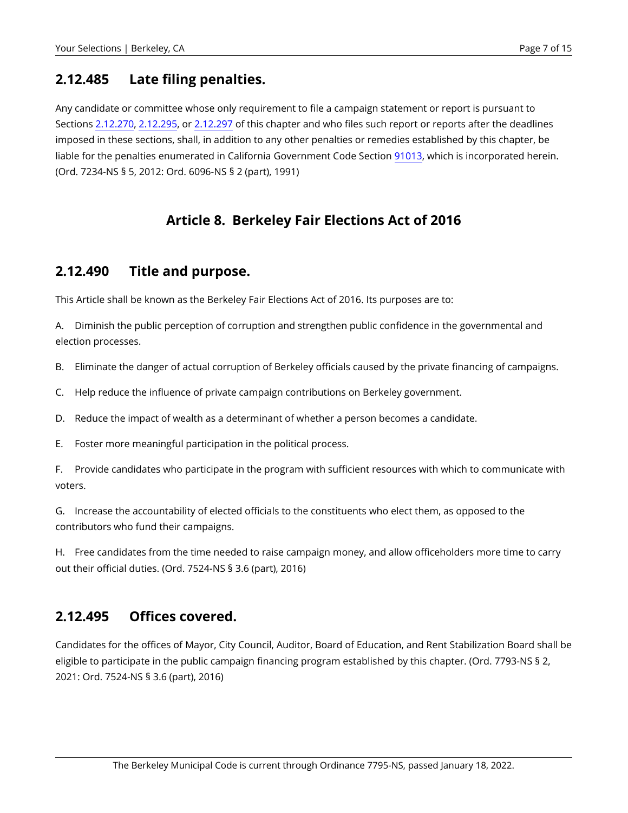#### **2.12.485 Late filing penalties.**

Any candidate or committee whose only requirement to file a campaign statement or report is pursuant to Sections [2.12.270,](https://berkeley.municipal.codes/BMC/2.12.270) [2.12.295,](#page-0-1) or [2.12.297](#page-0-2) of this chapter and who files such report or reports after the deadlines imposed in these sections, shall, in addition to any other penalties or remedies established by this chapter, be liable for the penalties enumerated in California Government Code Section [91013,](https://berkeley.municipal.codes/CA/GOV/91013) which is incorporated herein. (Ord. 7234-NS § 5, 2012: Ord. 6096-NS § 2 (part), 1991)

## **Article 8. Berkeley Fair Elections Act of 2016**

#### **2.12.490 Title and purpose.**

This Article shall be known as the Berkeley Fair Elections Act of 2016. Its purposes are to:

A. Diminish the public perception of corruption and strengthen public confidence in the governmental and election processes.

B. Eliminate the danger of actual corruption of Berkeley officials caused by the private financing of campaigns.

- C. Help reduce the influence of private campaign contributions on Berkeley government.
- D. Reduce the impact of wealth as a determinant of whether a person becomes a candidate.
- E. Foster more meaningful participation in the political process.

F. Provide candidates who participate in the program with sufficient resources with which to communicate with voters.

G. Increase the accountability of elected officials to the constituents who elect them, as opposed to the contributors who fund their campaigns.

H. Free candidates from the time needed to raise campaign money, and allow officeholders more time to carry out their official duties. (Ord. 7524-NS § 3.6 (part), 2016)

#### **2.12.495 Offices covered.**

Candidates for the offices of Mayor, City Council, Auditor, Board of Education, and Rent Stabilization Board shall be eligible to participate in the public campaign financing program established by this chapter. (Ord. 7793-NS § 2, 2021: Ord. 7524-NS § 3.6 (part), 2016)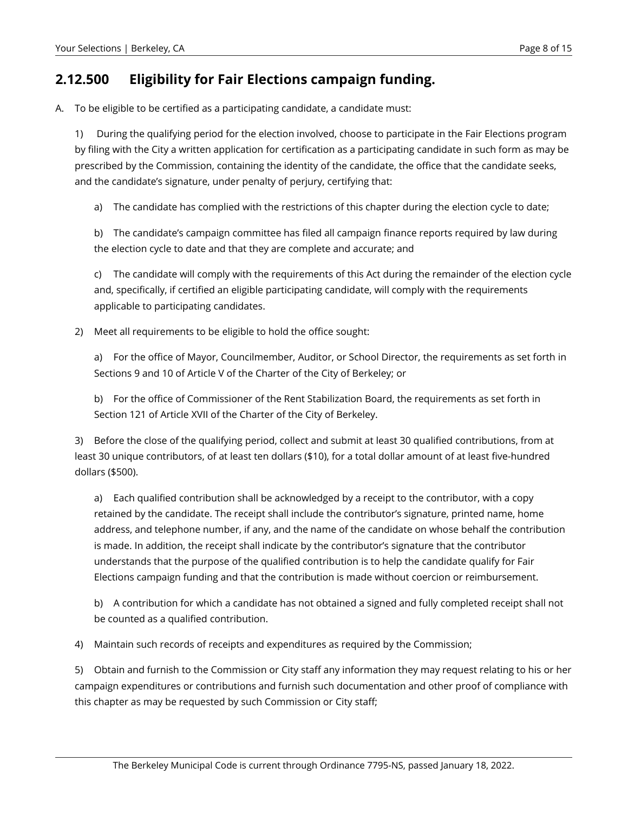#### <span id="page-7-0"></span>**2.12.500 Eligibility for Fair Elections campaign funding.**

A. To be eligible to be certified as a participating candidate, a candidate must:

1) During the qualifying period for the election involved, choose to participate in the Fair Elections program by filing with the City a written application for certification as a participating candidate in such form as may be prescribed by the Commission, containing the identity of the candidate, the office that the candidate seeks, and the candidate's signature, under penalty of perjury, certifying that:

a) The candidate has complied with the restrictions of this chapter during the election cycle to date;

b) The candidate's campaign committee has filed all campaign finance reports required by law during the election cycle to date and that they are complete and accurate; and

c) The candidate will comply with the requirements of this Act during the remainder of the election cycle and, specifically, if certified an eligible participating candidate, will comply with the requirements applicable to participating candidates.

2) Meet all requirements to be eligible to hold the office sought:

a) For the office of Mayor, Councilmember, Auditor, or School Director, the requirements as set forth in Sections 9 and 10 of Article V of the Charter of the City of Berkeley; or

b) For the office of Commissioner of the Rent Stabilization Board, the requirements as set forth in Section 121 of Article XVII of the Charter of the City of Berkeley.

3) Before the close of the qualifying period, collect and submit at least 30 qualified contributions, from at least 30 unique contributors, of at least ten dollars (\$10), for a total dollar amount of at least five-hundred dollars (\$500).

a) Each qualified contribution shall be acknowledged by a receipt to the contributor, with a copy retained by the candidate. The receipt shall include the contributor's signature, printed name, home address, and telephone number, if any, and the name of the candidate on whose behalf the contribution is made. In addition, the receipt shall indicate by the contributor's signature that the contributor understands that the purpose of the qualified contribution is to help the candidate qualify for Fair Elections campaign funding and that the contribution is made without coercion or reimbursement.

b) A contribution for which a candidate has not obtained a signed and fully completed receipt shall not be counted as a qualified contribution.

4) Maintain such records of receipts and expenditures as required by the Commission;

5) Obtain and furnish to the Commission or City staff any information they may request relating to his or her campaign expenditures or contributions and furnish such documentation and other proof of compliance with this chapter as may be requested by such Commission or City staff;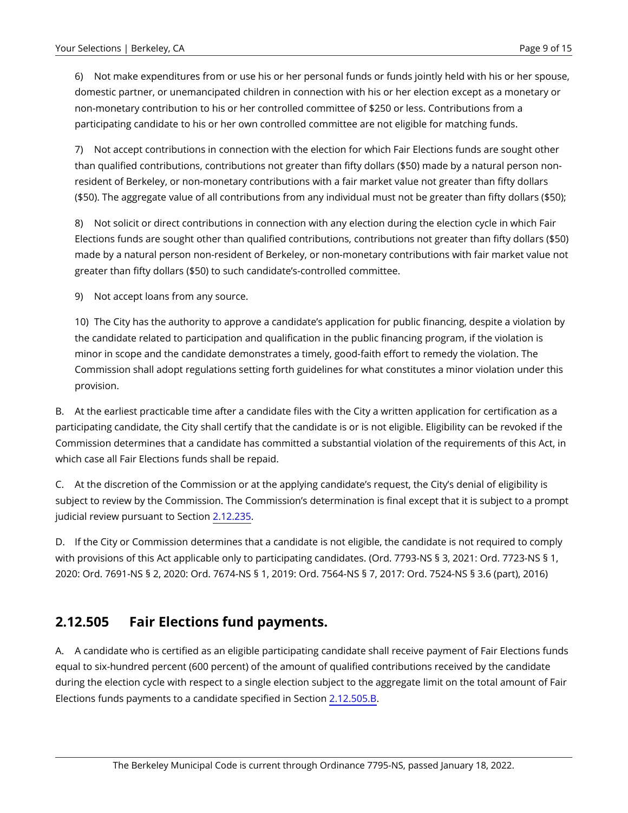6) Not make expenditures from or use his or her personal funds or funds jointly held with his or her spouse, domestic partner, or unemancipated children in connection with his or her election except as a monetary or non-monetary contribution to his or her controlled committee of \$250 or less. Contributions from a participating candidate to his or her own controlled committee are not eligible for matching funds.

7) Not accept contributions in connection with the election for which Fair Elections funds are sought other than qualified contributions, contributions not greater than fifty dollars (\$50) made by a natural person nonresident of Berkeley, or non-monetary contributions with a fair market value not greater than fifty dollars (\$50). The aggregate value of all contributions from any individual must not be greater than fifty dollars (\$50);

8) Not solicit or direct contributions in connection with any election during the election cycle in which Fair Elections funds are sought other than qualified contributions, contributions not greater than fifty dollars (\$50) made by a natural person non-resident of Berkeley, or non-monetary contributions with fair market value not greater than fifty dollars (\$50) to such candidate's-controlled committee.

9) Not accept loans from any source.

10) The City has the authority to approve a candidate's application for public financing, despite a violation by the candidate related to participation and qualification in the public financing program, if the violation is minor in scope and the candidate demonstrates a timely, good-faith effort to remedy the violation. The Commission shall adopt regulations setting forth guidelines for what constitutes a minor violation under this provision.

B. At the earliest practicable time after a candidate files with the City a written application for certification as a participating candidate, the City shall certify that the candidate is or is not eligible. Eligibility can be revoked if the Commission determines that a candidate has committed a substantial violation of the requirements of this Act, in which case all Fair Elections funds shall be repaid.

C. At the discretion of the Commission or at the applying candidate's request, the City's denial of eligibility is subject to review by the Commission. The Commission's determination is final except that it is subject to a prompt judicial review pursuant to Section [2.12.235.](https://berkeley.municipal.codes/BMC/2.12.235)

D. If the City or Commission determines that a candidate is not eligible, the candidate is not required to comply with provisions of this Act applicable only to participating candidates. (Ord. 7793-NS § 3, 2021: Ord. 7723-NS § 1, 2020: Ord. 7691-NS § 2, 2020: Ord. 7674-NS § 1, 2019: Ord. 7564-NS § 7, 2017: Ord. 7524-NS § 3.6 (part), 2016)

#### <span id="page-8-0"></span>**2.12.505 Fair Elections fund payments.**

A. A candidate who is certified as an eligible participating candidate shall receive payment of Fair Elections funds equal to six-hundred percent (600 percent) of the amount of qualified contributions received by the candidate during the election cycle with respect to a single election subject to the aggregate limit on the total amount of Fair Elections funds payments to a candidate specified in Section [2.12.505.B](#page-8-0).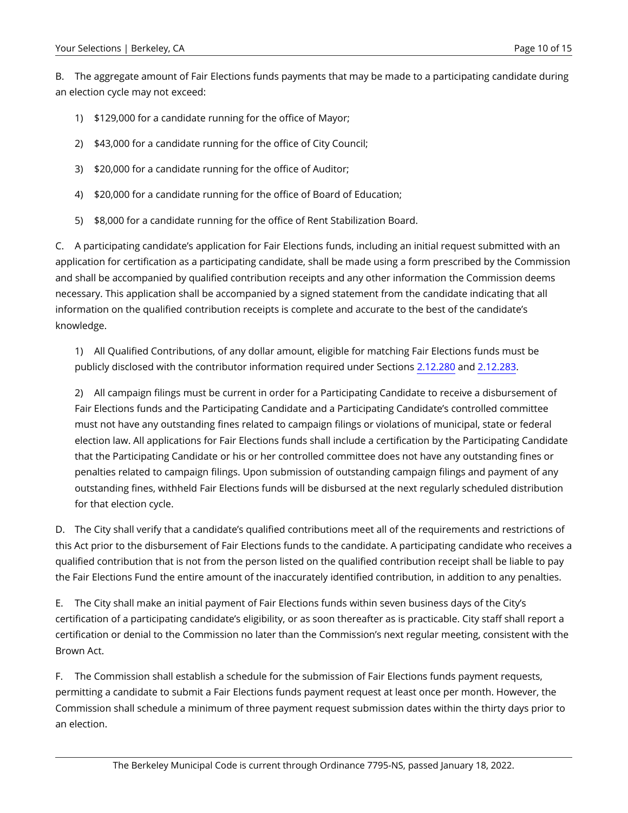<span id="page-9-0"></span>B. The aggregate amount of Fair Elections funds payments that may be made to a participating candidate during an election cycle may not exceed:

- 1) \$129,000 for a candidate running for the office of Mayor;
- 2) \$43,000 for a candidate running for the office of City Council;
- 3) \$20,000 for a candidate running for the office of Auditor;
- 4) \$20,000 for a candidate running for the office of Board of Education;
- 5) \$8,000 for a candidate running for the office of Rent Stabilization Board.

C. A participating candidate's application for Fair Elections funds, including an initial request submitted with an application for certification as a participating candidate, shall be made using a form prescribed by the Commission and shall be accompanied by qualified contribution receipts and any other information the Commission deems necessary. This application shall be accompanied by a signed statement from the candidate indicating that all information on the qualified contribution receipts is complete and accurate to the best of the candidate's knowledge.

1) All Qualified Contributions, of any dollar amount, eligible for matching Fair Elections funds must be publicly disclosed with the contributor information required under Sections [2.12.280](https://berkeley.municipal.codes/BMC/2.12.280) and [2.12.283](https://berkeley.municipal.codes/BMC/2.12.283).

2) All campaign filings must be current in order for a Participating Candidate to receive a disbursement of Fair Elections funds and the Participating Candidate and a Participating Candidate's controlled committee must not have any outstanding fines related to campaign filings or violations of municipal, state or federal election law. All applications for Fair Elections funds shall include a certification by the Participating Candidate that the Participating Candidate or his or her controlled committee does not have any outstanding fines or penalties related to campaign filings. Upon submission of outstanding campaign filings and payment of any outstanding fines, withheld Fair Elections funds will be disbursed at the next regularly scheduled distribution for that election cycle.

D. The City shall verify that a candidate's qualified contributions meet all of the requirements and restrictions of this Act prior to the disbursement of Fair Elections funds to the candidate. A participating candidate who receives a qualified contribution that is not from the person listed on the qualified contribution receipt shall be liable to pay the Fair Elections Fund the entire amount of the inaccurately identified contribution, in addition to any penalties.

E. The City shall make an initial payment of Fair Elections funds within seven business days of the City's certification of a participating candidate's eligibility, or as soon thereafter as is practicable. City staff shall report a certification or denial to the Commission no later than the Commission's next regular meeting, consistent with the Brown Act.

F. The Commission shall establish a schedule for the submission of Fair Elections funds payment requests, permitting a candidate to submit a Fair Elections funds payment request at least once per month. However, the Commission shall schedule a minimum of three payment request submission dates within the thirty days prior to an election.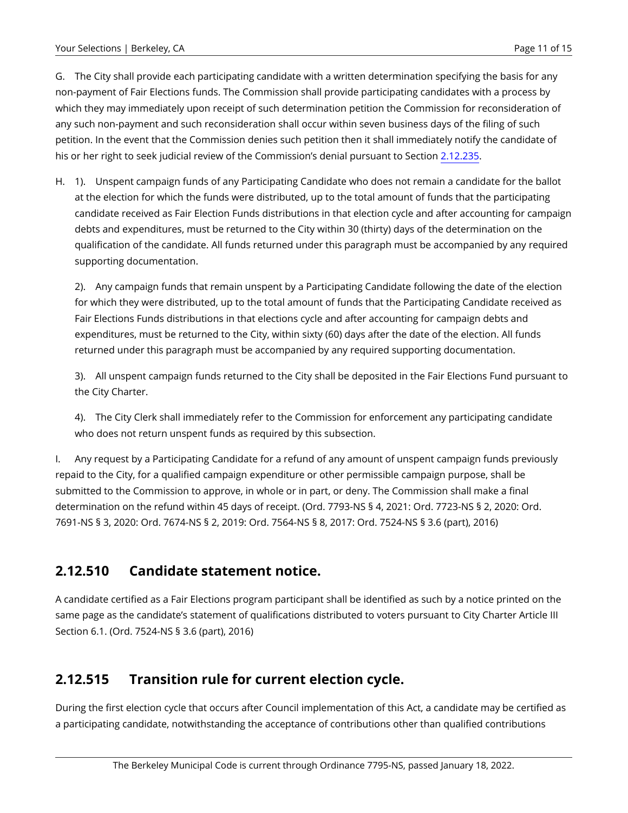G. The City shall provide each participating candidate with a written determination specifying the basis for any non-payment of Fair Elections funds. The Commission shall provide participating candidates with a process by which they may immediately upon receipt of such determination petition the Commission for reconsideration of any such non-payment and such reconsideration shall occur within seven business days of the filing of such petition. In the event that the Commission denies such petition then it shall immediately notify the candidate of his or her right to seek judicial review of the Commission's denial pursuant to Section [2.12.235](https://berkeley.municipal.codes/BMC/2.12.235).

H. 1). Unspent campaign funds of any Participating Candidate who does not remain a candidate for the ballot at the election for which the funds were distributed, up to the total amount of funds that the participating candidate received as Fair Election Funds distributions in that election cycle and after accounting for campaign debts and expenditures, must be returned to the City within 30 (thirty) days of the determination on the qualification of the candidate. All funds returned under this paragraph must be accompanied by any required supporting documentation.

2). Any campaign funds that remain unspent by a Participating Candidate following the date of the election for which they were distributed, up to the total amount of funds that the Participating Candidate received as Fair Elections Funds distributions in that elections cycle and after accounting for campaign debts and expenditures, must be returned to the City, within sixty (60) days after the date of the election. All funds returned under this paragraph must be accompanied by any required supporting documentation.

3). All unspent campaign funds returned to the City shall be deposited in the Fair Elections Fund pursuant to the City Charter.

4). The City Clerk shall immediately refer to the Commission for enforcement any participating candidate who does not return unspent funds as required by this subsection.

I. Any request by a Participating Candidate for a refund of any amount of unspent campaign funds previously repaid to the City, for a qualified campaign expenditure or other permissible campaign purpose, shall be submitted to the Commission to approve, in whole or in part, or deny. The Commission shall make a final determination on the refund within 45 days of receipt. (Ord. 7793-NS § 4, 2021: Ord. 7723-NS § 2, 2020: Ord. 7691-NS § 3, 2020: Ord. 7674-NS § 2, 2019: Ord. 7564-NS § 8, 2017: Ord. 7524-NS § 3.6 (part), 2016)

#### **2.12.510 Candidate statement notice.**

A candidate certified as a Fair Elections program participant shall be identified as such by a notice printed on the same page as the candidate's statement of qualifications distributed to voters pursuant to City Charter Article III Section 6.1. (Ord. 7524-NS § 3.6 (part), 2016)

# **2.12.515 Transition rule for current election cycle.**

During the first election cycle that occurs after Council implementation of this Act, a candidate may be certified as a participating candidate, notwithstanding the acceptance of contributions other than qualified contributions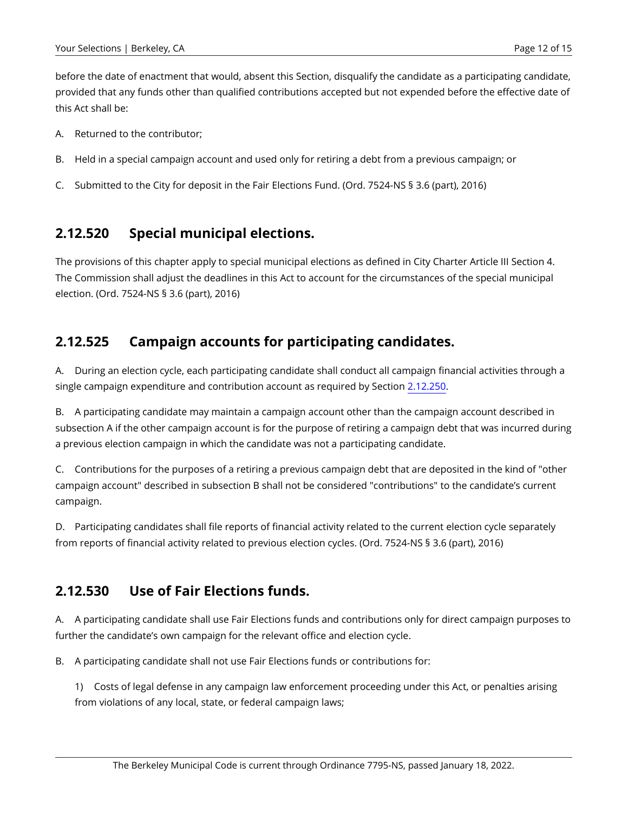before the date of enactment that would, absent this Section, disqualify the candidate as a participating candidate, provided that any funds other than qualified contributions accepted but not expended before the effective date of this Act shall be:

- A. Returned to the contributor;
- B. Held in a special campaign account and used only for retiring a debt from a previous campaign; or
- C. Submitted to the City for deposit in the Fair Elections Fund. (Ord. 7524-NS § 3.6 (part), 2016)

#### **2.12.520 Special municipal elections.**

The provisions of this chapter apply to special municipal elections as defined in City Charter Article III Section 4. The Commission shall adjust the deadlines in this Act to account for the circumstances of the special municipal election. (Ord. 7524-NS § 3.6 (part), 2016)

#### **2.12.525 Campaign accounts for participating candidates.**

A. During an election cycle, each participating candidate shall conduct all campaign financial activities through a single campaign expenditure and contribution account as required by Section [2.12.250.](https://berkeley.municipal.codes/BMC/2.12.250)

B. A participating candidate may maintain a campaign account other than the campaign account described in subsection A if the other campaign account is for the purpose of retiring a campaign debt that was incurred during a previous election campaign in which the candidate was not a participating candidate.

C. Contributions for the purposes of a retiring a previous campaign debt that are deposited in the kind of "other campaign account" described in subsection B shall not be considered "contributions" to the candidate's current campaign.

D. Participating candidates shall file reports of financial activity related to the current election cycle separately from reports of financial activity related to previous election cycles. (Ord. 7524-NS § 3.6 (part), 2016)

#### <span id="page-11-0"></span>**2.12.530 Use of Fair Elections funds.**

A. A participating candidate shall use Fair Elections funds and contributions only for direct campaign purposes to further the candidate's own campaign for the relevant office and election cycle.

B. A participating candidate shall not use Fair Elections funds or contributions for:

1) Costs of legal defense in any campaign law enforcement proceeding under this Act, or penalties arising from violations of any local, state, or federal campaign laws;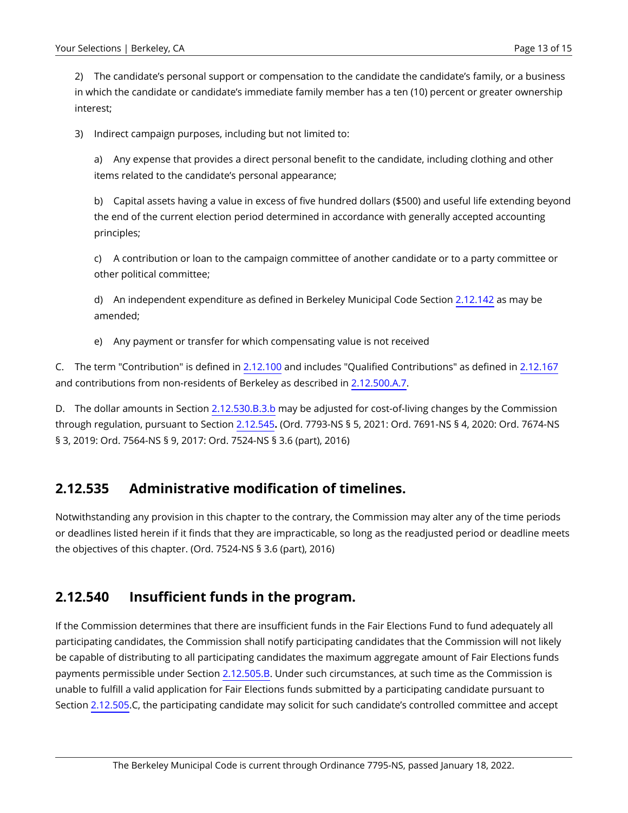2) The candidate's personal support or compensation to the candidate the candidate's family, or a business in which the candidate or candidate's immediate family member has a ten (10) percent or greater ownership interest;

3) Indirect campaign purposes, including but not limited to:

a) Any expense that provides a direct personal benefit to the candidate, including clothing and other items related to the candidate's personal appearance;

b) Capital assets having a value in excess of five hundred dollars (\$500) and useful life extending beyond the end of the current election period determined in accordance with generally accepted accounting principles;

c) A contribution or loan to the campaign committee of another candidate or to a party committee or other political committee;

d) An independent expenditure as defined in Berkeley Municipal Code Section [2.12.142](https://berkeley.municipal.codes/BMC/2.12.142) as may be amended;

e) Any payment or transfer for which compensating value is not received

C. The term "Contribution" is defined in [2.12.100](https://berkeley.municipal.codes/BMC/2.12.100) and includes "Qualified Contributions" as defined in [2.12.167](https://berkeley.municipal.codes/BMC/2.12.167)  and contributions from non-residents of Berkeley as described in [2.12.500.A.7.](#page-7-0)

D. The dollar amounts in Section [2.12.530.B.3.b](#page-11-0) may be adjusted for cost-of-living changes by the Commission through regulation, pursuant to Section [2.12.545](#page-13-0)**.** (Ord. 7793-NS § 5, 2021: Ord. 7691-NS § 4, 2020: Ord. 7674-NS § 3, 2019: Ord. 7564-NS § 9, 2017: Ord. 7524-NS § 3.6 (part), 2016)

#### **2.12.535 Administrative modification of timelines.**

Notwithstanding any provision in this chapter to the contrary, the Commission may alter any of the time periods or deadlines listed herein if it finds that they are impracticable, so long as the readjusted period or deadline meets the objectives of this chapter. (Ord. 7524-NS § 3.6 (part), 2016)

#### **2.12.540 Insufficient funds in the program.**

If the Commission determines that there are insufficient funds in the Fair Elections Fund to fund adequately all participating candidates, the Commission shall notify participating candidates that the Commission will not likely be capable of distributing to all participating candidates the maximum aggregate amount of Fair Elections funds payments permissible under Section [2.12.505.B](#page-9-0). Under such circumstances, at such time as the Commission is unable to fulfill a valid application for Fair Elections funds submitted by a participating candidate pursuant to Section [2.12.505](#page-8-0).C, the participating candidate may solicit for such candidate's controlled committee and accept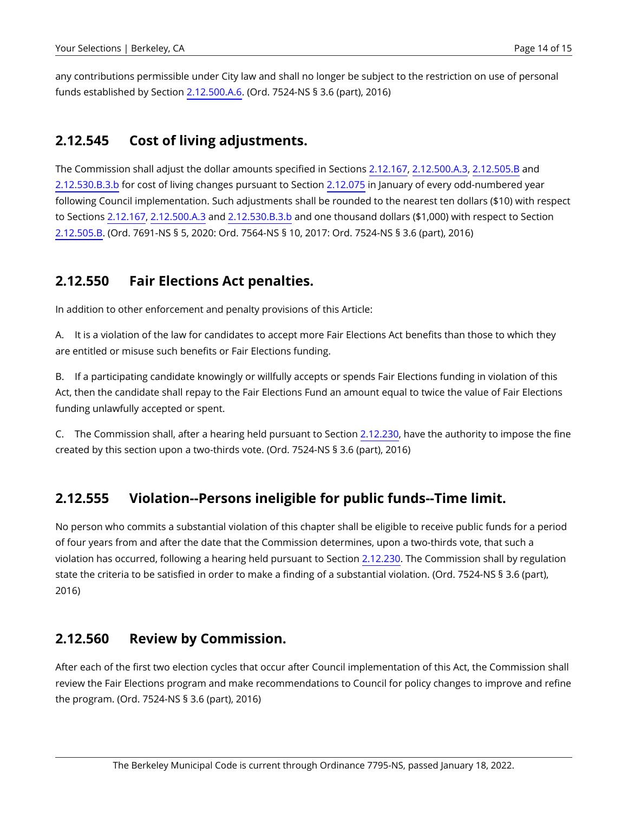any contributions permissible under City law and shall no longer be subject to the restriction on use of personal funds established by Section [2.12.500.A.6.](#page-7-0) (Ord. 7524-NS § 3.6 (part), 2016)

#### <span id="page-13-0"></span>**2.12.545 Cost of living adjustments.**

The Commission shall adjust the dollar amounts specified in Sections [2.12.167](https://berkeley.municipal.codes/BMC/2.12.167), [2.12.500.A.3](#page-7-0), [2.12.505.B](#page-9-0) and [2.12.530.B.3.b](#page-11-0) for cost of living changes pursuant to Section [2.12.075](https://berkeley.municipal.codes/BMC/2.12.075) in January of every odd-numbered year following Council implementation. Such adjustments shall be rounded to the nearest ten dollars (\$10) with respect to Sections [2.12.167](https://berkeley.municipal.codes/BMC/2.12.167), [2.12.500.A.3](#page-7-0) and [2.12.530.B.3.b](#page-11-0) and one thousand dollars (\$1,000) with respect to Section [2.12.505.B](#page-9-0). (Ord. 7691-NS § 5, 2020: Ord. 7564-NS § 10, 2017: Ord. 7524-NS § 3.6 (part), 2016)

#### **2.12.550 Fair Elections Act penalties.**

In addition to other enforcement and penalty provisions of this Article:

A. It is a violation of the law for candidates to accept more Fair Elections Act benefits than those to which they are entitled or misuse such benefits or Fair Elections funding.

B. If a participating candidate knowingly or willfully accepts or spends Fair Elections funding in violation of this Act, then the candidate shall repay to the Fair Elections Fund an amount equal to twice the value of Fair Elections funding unlawfully accepted or spent.

C. The Commission shall, after a hearing held pursuant to Section [2.12.230,](https://berkeley.municipal.codes/BMC/2.12.230) have the authority to impose the fine created by this section upon a two-thirds vote. (Ord. 7524-NS § 3.6 (part), 2016)

#### **2.12.555 Violation--Persons ineligible for public funds--Time limit.**

No person who commits a substantial violation of this chapter shall be eligible to receive public funds for a period of four years from and after the date that the Commission determines, upon a two-thirds vote, that such a violation has occurred, following a hearing held pursuant to Section [2.12.230.](https://berkeley.municipal.codes/BMC/2.12.230) The Commission shall by regulation state the criteria to be satisfied in order to make a finding of a substantial violation. (Ord. 7524-NS § 3.6 (part), 2016)

#### **2.12.560 Review by Commission.**

After each of the first two election cycles that occur after Council implementation of this Act, the Commission shall review the Fair Elections program and make recommendations to Council for policy changes to improve and refine the program. (Ord. 7524-NS § 3.6 (part), 2016)